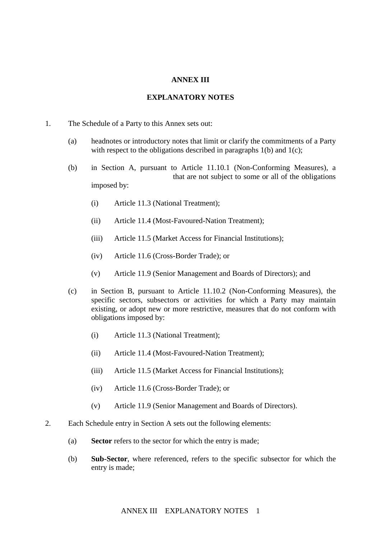## **ANNEX III**

## **EXPLANATORY NOTES**

- 1. The Schedule of a Party to this Annex sets out:
	- (a) headnotes or introductory notes that limit or clarify the commitments of a Party with respect to the obligations described in paragraphs  $1(b)$  and  $1(c)$ ;
	- (b) in Section A, pursuant to Article 11.10.1 (Non-Conforming Measures), a that are not subject to some or all of the obligations imposed by:
		- (i) Article 11.3 (National Treatment);
		- (ii) Article 11.4 (Most-Favoured-Nation Treatment);
		- (iii) Article 11.5 (Market Access for Financial Institutions);
		- (iv) Article 11.6 (Cross-Border Trade); or
		- (v) Article 11.9 (Senior Management and Boards of Directors); and
	- (c) in Section B, pursuant to Article 11.10.2 (Non-Conforming Measures), the specific sectors, subsectors or activities for which a Party may maintain existing, or adopt new or more restrictive, measures that do not conform with obligations imposed by:
		- (i) Article 11.3 (National Treatment);
		- (ii) Article 11.4 (Most-Favoured-Nation Treatment);
		- (iii) Article 11.5 (Market Access for Financial Institutions);
		- (iv) Article 11.6 (Cross-Border Trade); or
		- (v) Article 11.9 (Senior Management and Boards of Directors).
- 2. Each Schedule entry in Section A sets out the following elements:
	- (a) **Sector** refers to the sector for which the entry is made;
	- (b) **Sub-Sector**, where referenced, refers to the specific subsector for which the entry is made;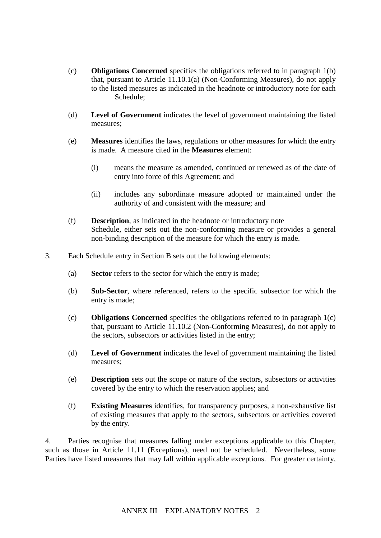- (c) **Obligations Concerned** specifies the obligations referred to in paragraph 1(b) that, pursuant to Article 11.10.1(a) (Non-Conforming Measures), do not apply to the listed measures as indicated in the headnote or introductory note for each Schedule:
- (d) **Level of Government** indicates the level of government maintaining the listed measures;
- (e) **Measures** identifies the laws, regulations or other measures for which the entry is made. A measure cited in the **Measures** element:
	- (i) means the measure as amended, continued or renewed as of the date of entry into force of this Agreement; and
	- (ii) includes any subordinate measure adopted or maintained under the authority of and consistent with the measure; and
- (f) **Description**, as indicated in the headnote or introductory note Schedule, either sets out the non-conforming measure or provides a general non-binding description of the measure for which the entry is made.
- 3. Each Schedule entry in Section B sets out the following elements:
	- (a) **Sector** refers to the sector for which the entry is made;
	- (b) **Sub-Sector**, where referenced, refers to the specific subsector for which the entry is made;
	- (c) **Obligations Concerned** specifies the obligations referred to in paragraph 1(c) that, pursuant to Article 11.10.2 (Non-Conforming Measures), do not apply to the sectors, subsectors or activities listed in the entry;
	- (d) **Level of Government** indicates the level of government maintaining the listed measures;
	- (e) **Description** sets out the scope or nature of the sectors, subsectors or activities covered by the entry to which the reservation applies; and
	- (f) **Existing Measures** identifies, for transparency purposes, a non-exhaustive list of existing measures that apply to the sectors, subsectors or activities covered by the entry.

4. Parties recognise that measures falling under exceptions applicable to this Chapter, such as those in Article 11.11 (Exceptions), need not be scheduled. Nevertheless, some Parties have listed measures that may fall within applicable exceptions. For greater certainty,